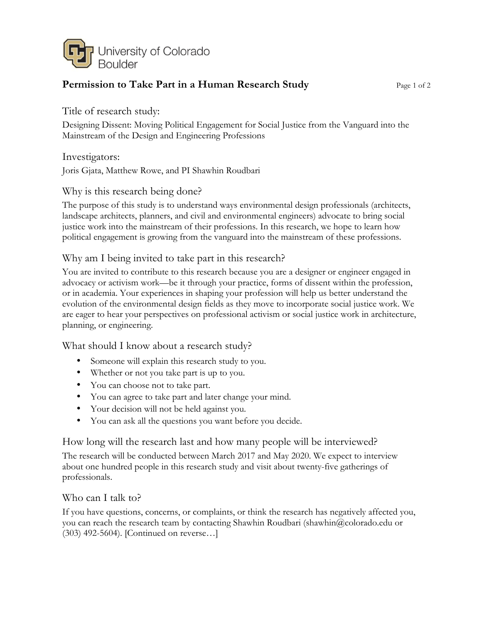

# **Permission to Take Part in a Human Research Study** Page 1 of 2

# Title of research study:

Designing Dissent: Moving Political Engagement for Social Justice from the Vanguard into the Mainstream of the Design and Engineering Professions

### Investigators:

Joris Gjata, Matthew Rowe, and PI Shawhin Roudbari

## Why is this research being done?

The purpose of this study is to understand ways environmental design professionals (architects, landscape architects, planners, and civil and environmental engineers) advocate to bring social justice work into the mainstream of their professions. In this research, we hope to learn how political engagement is growing from the vanguard into the mainstream of these professions.

### Why am I being invited to take part in this research?

You are invited to contribute to this research because you are a designer or engineer engaged in advocacy or activism work—be it through your practice, forms of dissent within the profession, or in academia. Your experiences in shaping your profession will help us better understand the evolution of the environmental design fields as they move to incorporate social justice work. We are eager to hear your perspectives on professional activism or social justice work in architecture, planning, or engineering.

#### What should I know about a research study?

- Someone will explain this research study to you.
- Whether or not you take part is up to you.
- You can choose not to take part.
- You can agree to take part and later change your mind.
- Your decision will not be held against you.
- You can ask all the questions you want before you decide.

#### How long will the research last and how many people will be interviewed?

The research will be conducted between March 2017 and May 2020. We expect to interview about one hundred people in this research study and visit about twenty-five gatherings of professionals.

## Who can I talk to?

If you have questions, concerns, or complaints, or think the research has negatively affected you, you can reach the research team by contacting Shawhin Roudbari (shawhin@colorado.edu or (303) 492-5604). [Continued on reverse…]